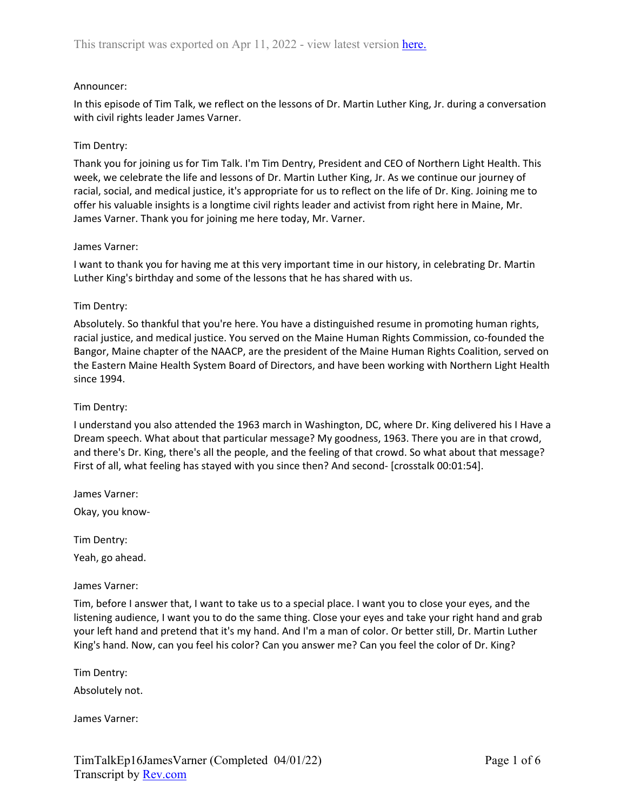## Announcer:

In this episode of Tim Talk, we reflect on the lessons of Dr. Martin Luther King, Jr. during a conversation with civil rights leader James Varner.

# Tim Dentry:

Thank you for joining us for Tim Talk. I'm Tim Dentry, President and CEO of Northern Light Health. This week, we celebrate the life and lessons of Dr. Martin Luther King, Jr. As we continue our journey of racial, social, and medical justice, it's appropriate for us to reflect on the life of Dr. King. Joining me to offer his valuable insights is a longtime civil rights leader and activist from right here in Maine, Mr. James Varner. Thank you for joining me here today, Mr. Varner.

### James Varner:

I want to thank you for having me at this very important time in our history, in celebrating Dr. Martin Luther King's birthday and some of the lessons that he has shared with us.

## Tim Dentry:

Absolutely. So thankful that you're here. You have a distinguished resume in promoting human rights, racial justice, and medical justice. You served on the Maine Human Rights Commission, co-founded the Bangor, Maine chapter of the NAACP, are the president of the Maine Human Rights Coalition, served on the Eastern Maine Health System Board of Directors, and have been working with Northern Light Health since 1994.

### Tim Dentry:

I understand you also attended the 1963 march in Washington, DC, where Dr. King delivered his I Have a Dream speech. What about that particular message? My goodness, 1963. There you are in that crowd, and there's Dr. King, there's all the people, and the feeling of that crowd. So what about that message? First of all, what feeling has stayed with you since then? And second- [crosstalk 00:01:54].

James Varner: Okay, you know-

Tim Dentry: Yeah, go ahead.

James Varner:

Tim, before I answer that, I want to take us to a special place. I want you to close your eyes, and the listening audience, I want you to do the same thing. Close your eyes and take your right hand and grab your left hand and pretend that it's my hand. And I'm a man of color. Or better still, Dr. Martin Luther King's hand. Now, can you feel his color? Can you answer me? Can you feel the color of Dr. King?

Tim Dentry: Absolutely not.

James Varner: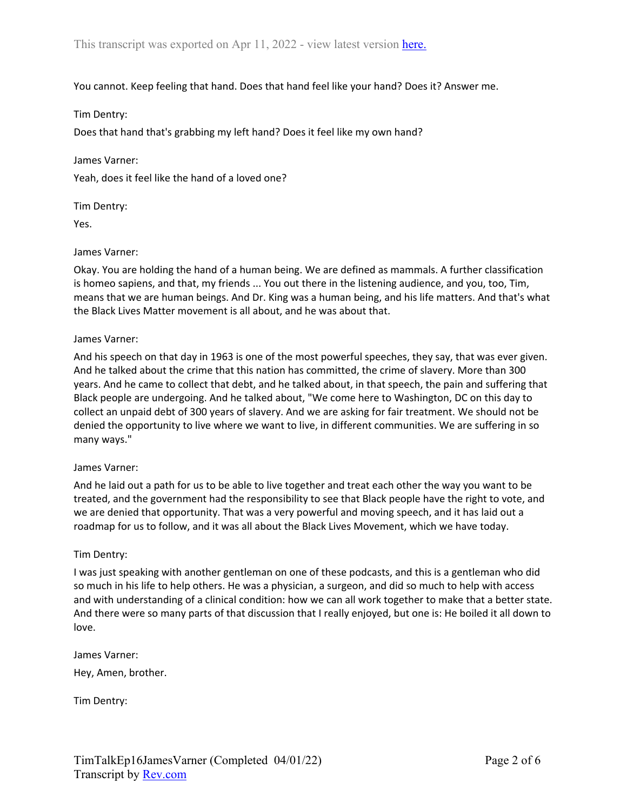### You cannot. Keep feeling that hand. Does that hand feel like your hand? Does it? Answer me.

Tim Dentry:

Does that hand that's grabbing my left hand? Does it feel like my own hand?

James Varner:

Yeah, does it feel like the hand of a loved one?

Tim Dentry:

Yes.

#### James Varner:

Okay. You are holding the hand of a human being. We are defined as mammals. A further classification is homeo sapiens, and that, my friends ... You out there in the listening audience, and you, too, Tim, means that we are human beings. And Dr. King was a human being, and his life matters. And that's what the Black Lives Matter movement is all about, and he was about that.

#### James Varner:

And his speech on that day in 1963 is one of the most powerful speeches, they say, that was ever given. And he talked about the crime that this nation has committed, the crime of slavery. More than 300 years. And he came to collect that debt, and he talked about, in that speech, the pain and suffering that Black people are undergoing. And he talked about, "We come here to Washington, DC on this day to collect an unpaid debt of 300 years of slavery. And we are asking for fair treatment. We should not be denied the opportunity to live where we want to live, in different communities. We are suffering in so many ways."

#### James Varner:

And he laid out a path for us to be able to live together and treat each other the way you want to be treated, and the government had the responsibility to see that Black people have the right to vote, and we are denied that opportunity. That was a very powerful and moving speech, and it has laid out a roadmap for us to follow, and it was all about the Black Lives Movement, which we have today.

#### Tim Dentry:

I was just speaking with another gentleman on one of these podcasts, and this is a gentleman who did so much in his life to help others. He was a physician, a surgeon, and did so much to help with access and with understanding of a clinical condition: how we can all work together to make that a better state. And there were so many parts of that discussion that I really enjoyed, but one is: He boiled it all down to love.

James Varner: Hey, Amen, brother.

Tim Dentry: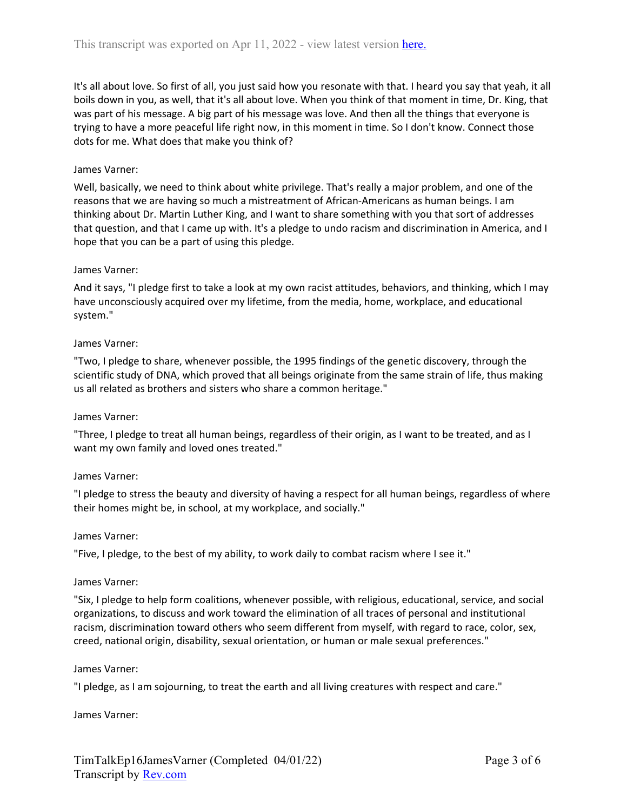It's all about love. So first of all, you just said how you resonate with that. I heard you say that yeah, it all boils down in you, as well, that it's all about love. When you think of that moment in time, Dr. King, that was part of his message. A big part of his message was love. And then all the things that everyone is trying to have a more peaceful life right now, in this moment in time. So I don't know. Connect those dots for me. What does that make you think of?

## James Varner:

Well, basically, we need to think about white privilege. That's really a major problem, and one of the reasons that we are having so much a mistreatment of African-Americans as human beings. I am thinking about Dr. Martin Luther King, and I want to share something with you that sort of addresses that question, and that I came up with. It's a pledge to undo racism and discrimination in America, and I hope that you can be a part of using this pledge.

### James Varner:

And it says, "I pledge first to take a look at my own racist attitudes, behaviors, and thinking, which I may have unconsciously acquired over my lifetime, from the media, home, workplace, and educational system."

### James Varner:

"Two, I pledge to share, whenever possible, the 1995 findings of the genetic discovery, through the scientific study of DNA, which proved that all beings originate from the same strain of life, thus making us all related as brothers and sisters who share a common heritage."

### James Varner:

"Three, I pledge to treat all human beings, regardless of their origin, as I want to be treated, and as I want my own family and loved ones treated."

### James Varner:

"I pledge to stress the beauty and diversity of having a respect for all human beings, regardless of where their homes might be, in school, at my workplace, and socially."

### James Varner:

"Five, I pledge, to the best of my ability, to work daily to combat racism where I see it."

### James Varner:

"Six, I pledge to help form coalitions, whenever possible, with religious, educational, service, and social organizations, to discuss and work toward the elimination of all traces of personal and institutional racism, discrimination toward others who seem different from myself, with regard to race, color, sex, creed, national origin, disability, sexual orientation, or human or male sexual preferences."

### James Varner:

"I pledge, as I am sojourning, to treat the earth and all living creatures with respect and care."

James Varner: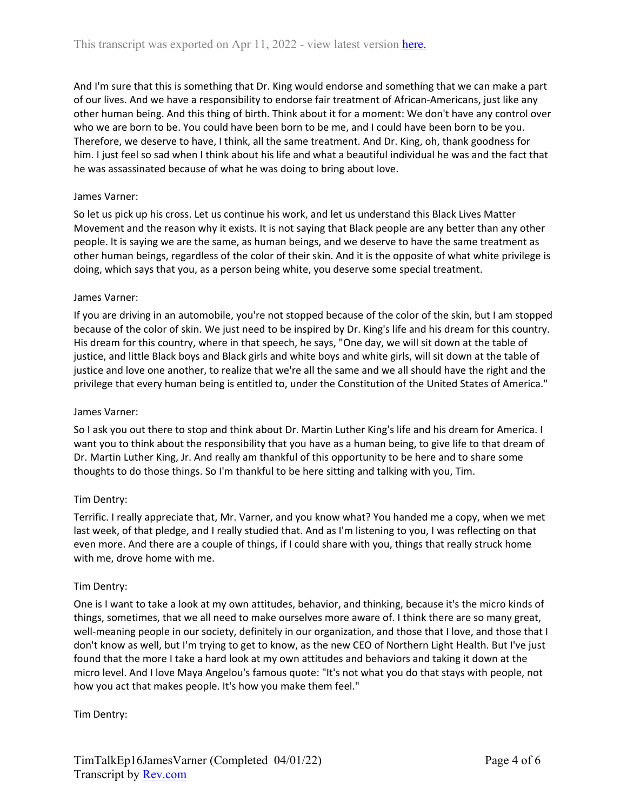And I'm sure that this is something that Dr. King would endorse and something that we can make a part of our lives. And we have a responsibility to endorse fair treatment of African-Americans, just like any other human being. And this thing of birth. Think about it for a moment: We don't have any control over who we are born to be. You could have been born to be me, and I could have been born to be you. Therefore, we deserve to have, I think, all the same treatment. And Dr. King, oh, thank goodness for him. I just feel so sad when I think about his life and what a beautiful individual he was and the fact that he was assassinated because of what he was doing to bring about love.

## James Varner:

So let us pick up his cross. Let us continue his work, and let us understand this Black Lives Matter Movement and the reason why it exists. It is not saying that Black people are any better than any other people. It is saying we are the same, as human beings, and we deserve to have the same treatment as other human beings, regardless of the color of their skin. And it is the opposite of what white privilege is doing, which says that you, as a person being white, you deserve some special treatment.

## James Varner:

If you are driving in an automobile, you're not stopped because of the color of the skin, but I am stopped because of the color of skin. We just need to be inspired by Dr. King's life and his dream for this country. His dream for this country, where in that speech, he says, "One day, we will sit down at the table of justice, and little Black boys and Black girls and white boys and white girls, will sit down at the table of justice and love one another, to realize that we're all the same and we all should have the right and the privilege that every human being is entitled to, under the Constitution of the United States of America."

### James Varner:

So I ask you out there to stop and think about Dr. Martin Luther King's life and his dream for America. I want you to think about the responsibility that you have as a human being, to give life to that dream of Dr. Martin Luther King, Jr. And really am thankful of this opportunity to be here and to share some thoughts to do those things. So I'm thankful to be here sitting and talking with you, Tim.

### Tim Dentry:

Terrific. I really appreciate that, Mr. Varner, and you know what? You handed me a copy, when we met last week, of that pledge, and I really studied that. And as I'm listening to you, I was reflecting on that even more. And there are a couple of things, if I could share with you, things that really struck home with me, drove home with me.

### Tim Dentry:

One is I want to take a look at my own attitudes, behavior, and thinking, because it's the micro kinds of things, sometimes, that we all need to make ourselves more aware of. I think there are so many great, well-meaning people in our society, definitely in our organization, and those that I love, and those that I don't know as well, but I'm trying to get to know, as the new CEO of Northern Light Health. But I've just found that the more I take a hard look at my own attitudes and behaviors and taking it down at the micro level. And I love Maya Angelou's famous quote: "It's not what you do that stays with people, not how you act that makes people. It's how you make them feel."

Tim Dentry: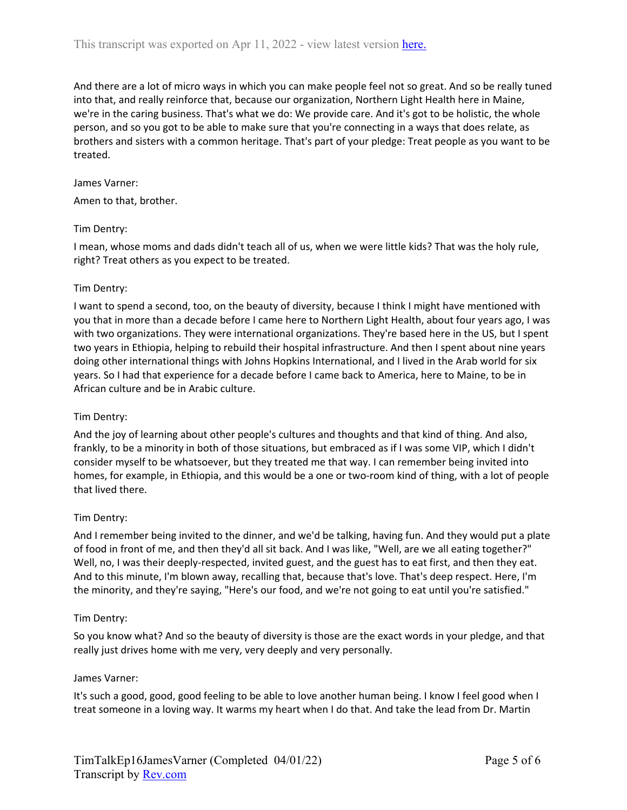And there are a lot of micro ways in which you can make people feel not so great. And so be really tuned into that, and really reinforce that, because our organization, Northern Light Health here in Maine, we're in the caring business. That's what we do: We provide care. And it's got to be holistic, the whole person, and so you got to be able to make sure that you're connecting in a ways that does relate, as brothers and sisters with a common heritage. That's part of your pledge: Treat people as you want to be treated.

### James Varner:

Amen to that, brother.

## Tim Dentry:

I mean, whose moms and dads didn't teach all of us, when we were little kids? That was the holy rule, right? Treat others as you expect to be treated.

## Tim Dentry:

I want to spend a second, too, on the beauty of diversity, because I think I might have mentioned with you that in more than a decade before I came here to Northern Light Health, about four years ago, I was with two organizations. They were international organizations. They're based here in the US, but I spent two years in Ethiopia, helping to rebuild their hospital infrastructure. And then I spent about nine years doing other international things with Johns Hopkins International, and I lived in the Arab world for six years. So I had that experience for a decade before I came back to America, here to Maine, to be in African culture and be in Arabic culture.

# Tim Dentry:

And the joy of learning about other people's cultures and thoughts and that kind of thing. And also, frankly, to be a minority in both of those situations, but embraced as if I was some VIP, which I didn't consider myself to be whatsoever, but they treated me that way. I can remember being invited into homes, for example, in Ethiopia, and this would be a one or two-room kind of thing, with a lot of people that lived there.

# Tim Dentry:

And I remember being invited to the dinner, and we'd be talking, having fun. And they would put a plate of food in front of me, and then they'd all sit back. And I was like, "Well, are we all eating together?" Well, no, I was their deeply-respected, invited guest, and the guest has to eat first, and then they eat. And to this minute, I'm blown away, recalling that, because that's love. That's deep respect. Here, I'm the minority, and they're saying, "Here's our food, and we're not going to eat until you're satisfied."

# Tim Dentry:

So you know what? And so the beauty of diversity is those are the exact words in your pledge, and that really just drives home with me very, very deeply and very personally.

### James Varner:

It's such a good, good, good feeling to be able to love another human being. I know I feel good when I treat someone in a loving way. It warms my heart when I do that. And take the lead from Dr. Martin